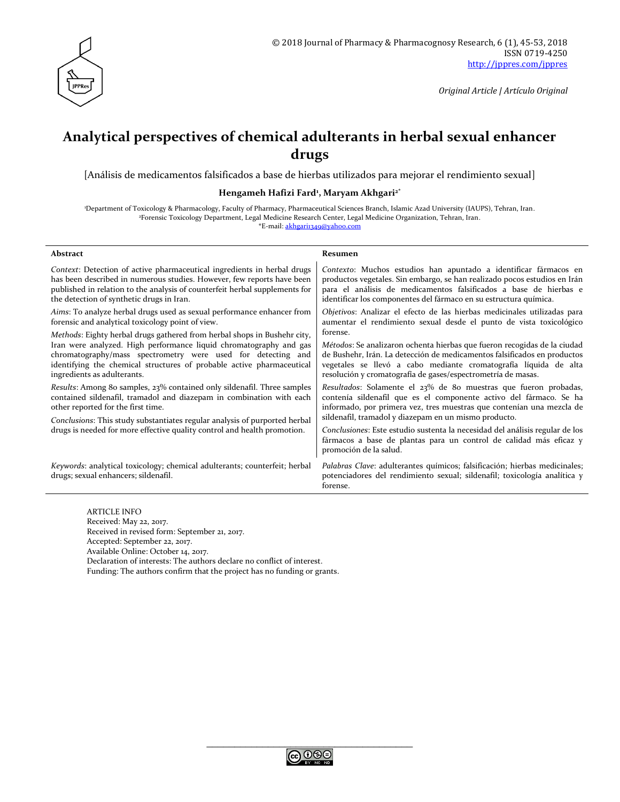

*Original Article | Artículo Original*

# **Analytical perspectives of chemical adulterants in herbal sexual enhancer drugs**

[Análisis de medicamentos falsificados a base de hierbas utilizados para mejorar el rendimiento sexual]

**Hengameh Hafizi Fard<sup>1</sup> , Maryam Akhgari2\***

<sup>1</sup>Department of Toxicology & Pharmacology, Faculty of Pharmacy, Pharmaceutical Sciences Branch, Islamic Azad University (IAUPS), Tehran, Iran. <sup>2</sup>Forensic Toxicology Department, Legal Medicine Research Center, Legal Medicine Organization, Tehran, Iran. \*E-mail: [akhgari1349@yahoo.com](mailto:akhgari1349@yahoo.com)

| Abstract                                                                                                                                                                                                                                                                                                               | Resumen                                                                                                                                                                                                                                                                                  |
|------------------------------------------------------------------------------------------------------------------------------------------------------------------------------------------------------------------------------------------------------------------------------------------------------------------------|------------------------------------------------------------------------------------------------------------------------------------------------------------------------------------------------------------------------------------------------------------------------------------------|
| Context: Detection of active pharmaceutical ingredients in herbal drugs<br>has been described in numerous studies. However, few reports have been<br>published in relation to the analysis of counterfeit herbal supplements for<br>the detection of synthetic drugs in Iran.                                          | Contexto: Muchos estudios han apuntado a identificar fármacos en<br>productos vegetales. Sin embargo, se han realizado pocos estudios en Irán<br>para el análisis de medicamentos falsificados a base de hierbas e<br>identificar los componentes del fármaco en su estructura química.  |
| Aims: To analyze herbal drugs used as sexual performance enhancer from<br>forensic and analytical toxicology point of view.                                                                                                                                                                                            | Objetivos: Analizar el efecto de las hierbas medicinales utilizadas para<br>aumentar el rendimiento sexual desde el punto de vista toxicológico<br>forense.                                                                                                                              |
| Methods: Eighty herbal drugs gathered from herbal shops in Bushehr city,<br>Iran were analyzed. High performance liquid chromatography and gas<br>chromatography/mass spectrometry were used for detecting and<br>identifying the chemical structures of probable active pharmaceutical<br>ingredients as adulterants. | Métodos: Se analizaron ochenta hierbas que fueron recogidas de la ciudad<br>de Bushehr, Irán. La detección de medicamentos falsificados en productos<br>vegetales se llevó a cabo mediante cromatografía líquida de alta<br>resolución y cromatografía de gases/espectrometría de masas. |
| Results: Among 80 samples, 23% contained only sildenafil. Three samples<br>contained sildenafil, tramadol and diazepam in combination with each<br>other reported for the first time.<br>Conclusions: This study substantiates regular analysis of purported herbal                                                    | Resultados: Solamente el 23% de 80 muestras que fueron probadas,<br>contenía sildenafil que es el componente activo del fármaco. Se ha<br>informado, por primera vez, tres muestras que contenían una mezcla de<br>sildenafil, tramadol y diazepam en un mismo producto.                 |
| drugs is needed for more effective quality control and health promotion.                                                                                                                                                                                                                                               | Conclusiones: Este estudio sustenta la necesidad del análisis regular de los<br>fármacos a base de plantas para un control de calidad más eficaz y<br>promoción de la salud.                                                                                                             |
| Keywords: analytical toxicology; chemical adulterants; counterfeit; herbal<br>drugs; sexual enhancers; sildenafil.                                                                                                                                                                                                     | Palabras Clave: adulterantes químicos; falsificación; hierbas medicinales;<br>potenciadores del rendimiento sexual; sildenafil; toxicología analítica y<br>forense.                                                                                                                      |

ARTICLE INFO Received: May 22, 2017. Received in revised form: September 21, 2017. Accepted: September 22, 2017. Available Online: October 14, 2017. Declaration of interests: The authors declare no conflict of interest. Funding: The authors confirm that the project has no funding or grants.

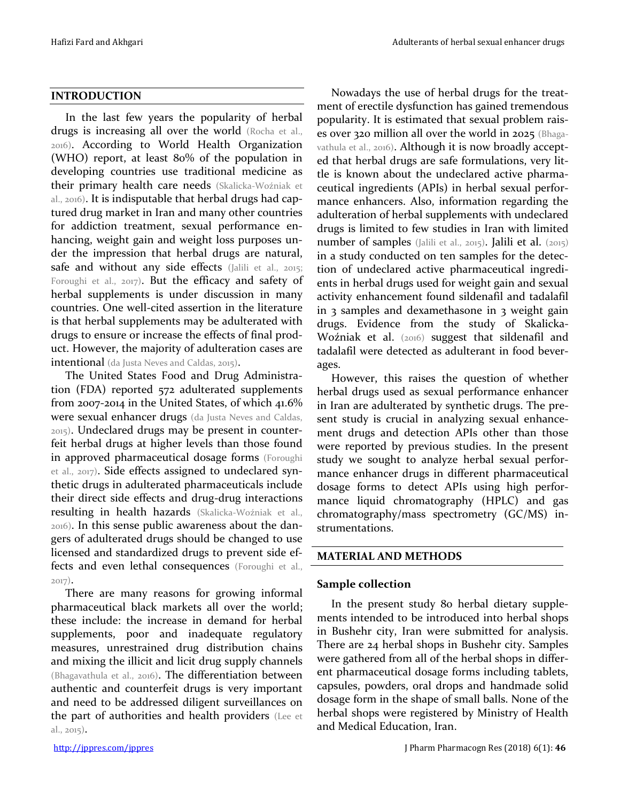### **INTRODUCTION**

In the last few years the popularity of herbal drugs is increasing all over the world (Rocha et al., 2016). According to World Health Organization (WHO) report, at least 80% of the population in developing countries use traditional medicine as their primary health care needs (Skalicka-Woźniak et al., 2016). It is indisputable that herbal drugs had captured drug market in Iran and many other countries for addiction treatment, sexual performance enhancing, weight gain and weight loss purposes under the impression that herbal drugs are natural, safe and without any side effects (Jalili et al., 2015; Foroughi et al., 2017). But the efficacy and safety of herbal supplements is under discussion in many countries. One well-cited assertion in the literature is that herbal supplements may be adulterated with drugs to ensure or increase the effects of final product. However, the majority of adulteration cases are intentional (da Justa Neves and Caldas, 2015).

The United States Food and Drug Administration (FDA) reported 572 adulterated supplements from 2007-2014 in the United States, of which 41.6% were sexual enhancer drugs (da Justa Neves and Caldas, 2015). Undeclared drugs may be present in counterfeit herbal drugs at higher levels than those found in approved pharmaceutical dosage forms (Foroughi et al., 2017). Side effects assigned to undeclared synthetic drugs in adulterated pharmaceuticals include their direct side effects and drug-drug interactions resulting in health hazards (Skalicka-Woźniak et al., 2016). In this sense public awareness about the dangers of adulterated drugs should be changed to use licensed and standardized drugs to prevent side effects and even lethal consequences (Foroughi et al., 2017).

There are many reasons for growing informal pharmaceutical black markets all over the world; these include: the increase in demand for herbal supplements, poor and inadequate regulatory measures, unrestrained drug distribution chains and mixing the illicit and licit drug supply channels (Bhagavathula et al., 2016). The differentiation between authentic and counterfeit drugs is very important and need to be addressed diligent surveillances on the part of authorities and health providers (Lee et al., 2015).

Nowadays the use of herbal drugs for the treatment of erectile dysfunction has gained tremendous popularity. It is estimated that sexual problem raises over 320 million all over the world in 2025 (Bhagavathula et al., 2016). Although it is now broadly accepted that herbal drugs are safe formulations, very little is known about the undeclared active pharmaceutical ingredients (APIs) in herbal sexual performance enhancers. Also, information regarding the adulteration of herbal supplements with undeclared drugs is limited to few studies in Iran with limited number of samples (Jalili et al., 2015). Jalili et al. (2015) in a study conducted on ten samples for the detection of undeclared active pharmaceutical ingredients in herbal drugs used for weight gain and sexual activity enhancement found sildenafil and tadalafil in 3 samples and dexamethasone in 3 weight gain drugs. Evidence from the study of Skalicka-Woźniak et al. (2016) suggest that sildenafil and tadalafil were detected as adulterant in food beverages.

However, this raises the question of whether herbal drugs used as sexual performance enhancer in Iran are adulterated by synthetic drugs. The present study is crucial in analyzing sexual enhancement drugs and detection APIs other than those were reported by previous studies. In the present study we sought to analyze herbal sexual performance enhancer drugs in different pharmaceutical dosage forms to detect APIs using high performance liquid chromatography (HPLC) and gas chromatography/mass spectrometry (GC/MS) instrumentations.

# **MATERIAL AND METHODS**

# **Sample collection**

In the present study 80 herbal dietary supplements intended to be introduced into herbal shops in Bushehr city, Iran were submitted for analysis. There are 24 herbal shops in Bushehr city. Samples were gathered from all of the herbal shops in different pharmaceutical dosage forms including tablets, capsules, powders, oral drops and handmade solid dosage form in the shape of small balls. None of the herbal shops were registered by Ministry of Health and Medical Education, Iran.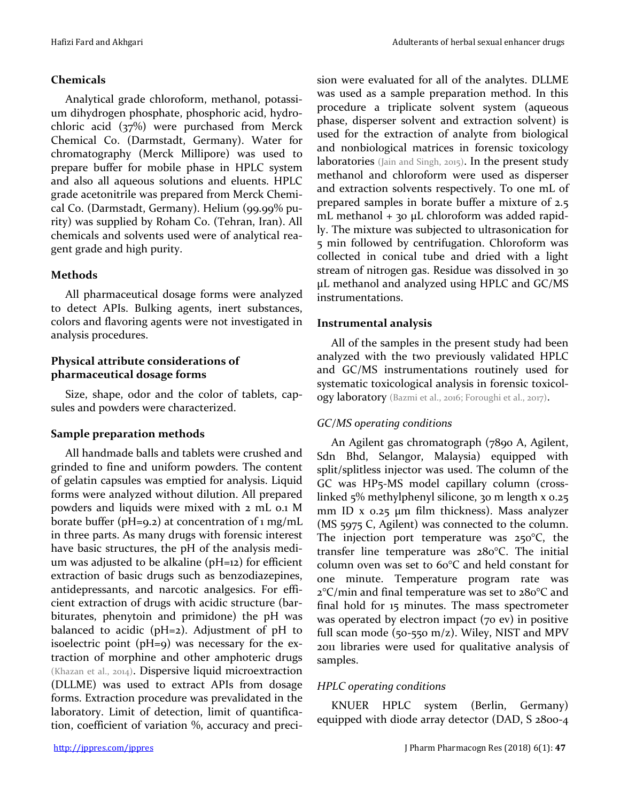# **Chemicals**

Analytical grade chloroform, methanol, potassium dihydrogen phosphate, phosphoric acid, hydrochloric acid (37%) were purchased from Merck Chemical Co. (Darmstadt, Germany). Water for chromatography (Merck Millipore) was used to prepare buffer for mobile phase in HPLC system and also all aqueous solutions and eluents. HPLC grade acetonitrile was prepared from Merck Chemical Co. (Darmstadt, Germany). Helium (99.99% purity) was supplied by Roham Co. (Tehran, Iran). All chemicals and solvents used were of analytical reagent grade and high purity.

# **Methods**

All pharmaceutical dosage forms were analyzed to detect APIs. Bulking agents, inert substances, colors and flavoring agents were not investigated in analysis procedures.

# **Physical attribute considerations of pharmaceutical dosage forms**

Size, shape, odor and the color of tablets, capsules and powders were characterized.

# **Sample preparation methods**

All handmade balls and tablets were crushed and grinded to fine and uniform powders. The content of gelatin capsules was emptied for analysis. Liquid forms were analyzed without dilution. All prepared powders and liquids were mixed with 2 mL 0.1 M borate buffer ( $pH=9.2$ ) at concentration of 1 mg/mL in three parts. As many drugs with forensic interest have basic structures, the pH of the analysis medium was adjusted to be alkaline (pH=12) for efficient extraction of basic drugs such as benzodiazepines, antidepressants, and narcotic analgesics. For efficient extraction of drugs with acidic structure (barbiturates, phenytoin and primidone) the pH was balanced to acidic (pH=2). Adjustment of pH to isoelectric point (pH=9) was necessary for the extraction of morphine and other amphoteric drugs (Khazan et al., 2014). Dispersive liquid microextraction (DLLME) was used to extract APIs from dosage forms. Extraction procedure was prevalidated in the laboratory. Limit of detection, limit of quantification, coefficient of variation %, accuracy and precision were evaluated for all of the analytes. DLLME was used as a sample preparation method. In this procedure a triplicate solvent system (aqueous phase, disperser solvent and extraction solvent) is used for the extraction of analyte from biological and nonbiological matrices in forensic toxicology laboratories (Jain and Singh, 2015). In the present study methanol and chloroform were used as disperser and extraction solvents respectively. To one mL of prepared samples in borate buffer a mixture of 2.5 mL methanol + 30 μL chloroform was added rapidly. The mixture was subjected to ultrasonication for 5 min followed by centrifugation. Chloroform was collected in conical tube and dried with a light stream of nitrogen gas. Residue was dissolved in 30 μL methanol and analyzed using HPLC and GC/MS instrumentations.

# **Instrumental analysis**

All of the samples in the present study had been analyzed with the two previously validated HPLC and GC/MS instrumentations routinely used for systematic toxicological analysis in forensic toxicology laboratory (Bazmi et al., 2016; Foroughi et al., 2017).

# *GC/MS operating conditions*

An Agilent gas chromatograph (7890 A, Agilent, Sdn Bhd, Selangor, Malaysia) equipped with split/splitless injector was used. The column of the GC was HP5-MS model capillary column (crosslinked 5% methylphenyl silicone, 30 m length x 0.25 mm ID x 0.25 μm film thickness). Mass analyzer (MS 5975 C, Agilent) was connected to the column. The injection port temperature was  $250^{\circ}$ C, the transfer line temperature was 280°C. The initial column oven was set to 60°C and held constant for one minute. Temperature program rate was 2°C/min and final temperature was set to 280°C and final hold for 15 minutes. The mass spectrometer was operated by electron impact (70 ev) in positive full scan mode (50-550 m/z). Wiley, NIST and MPV 2011 libraries were used for qualitative analysis of samples.

# *HPLC operating conditions*

KNUER HPLC system (Berlin, Germany) equipped with diode array detector (DAD, S 2800-4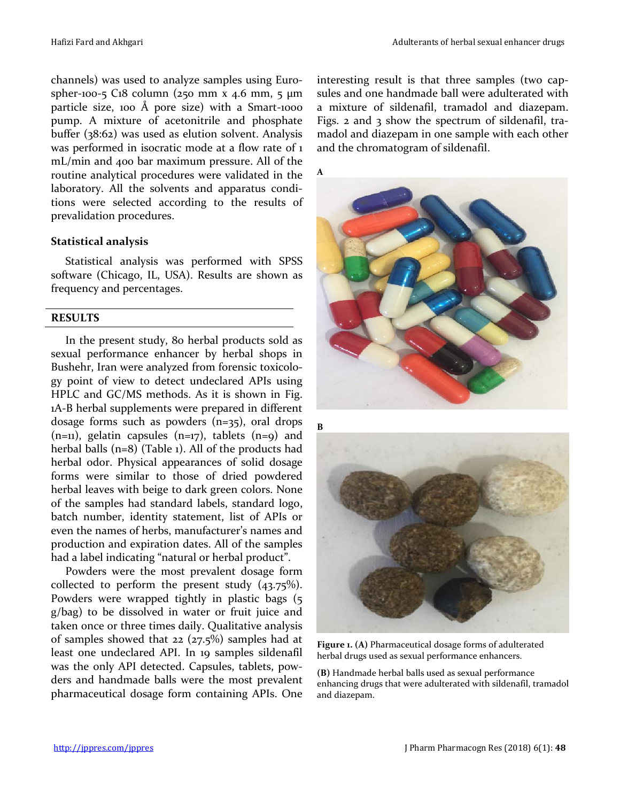channels) was used to analyze samples using Eurospher-100-5 C18 column (250 mm x 4.6 mm, 5 μm particle size, 100 Å pore size) with a Smart-1000 pump. A mixture of acetonitrile and phosphate buffer (38:62) was used as elution solvent. Analysis was performed in isocratic mode at a flow rate of 1 mL/min and 400 bar maximum pressure. All of the routine analytical procedures were validated in the laboratory. All the solvents and apparatus conditions were selected according to the results of prevalidation procedures.

### **Statistical analysis**

Statistical analysis was performed with SPSS software (Chicago, IL, USA). Results are shown as frequency and percentages.

#### **RESULTS**

In the present study, 80 herbal products sold as sexual performance enhancer by herbal shops in Bushehr, Iran were analyzed from forensic toxicology point of view to detect undeclared APIs using HPLC and GC/MS methods. As it is shown in Fig. 1A-B herbal supplements were prepared in different dosage forms such as powders (n=35), oral drops  $(n=11)$ , gelatin capsules  $(n=17)$ , tablets  $(n=9)$  and herbal balls (n=8) (Table 1). All of the products had herbal odor. Physical appearances of solid dosage forms were similar to those of dried powdered herbal leaves with beige to dark green colors. None of the samples had standard labels, standard logo, batch number, identity statement, list of APIs or even the names of herbs, manufacturer's names and production and expiration dates. All of the samples had a label indicating "natural or herbal product".

Powders were the most prevalent dosage form collected to perform the present study (43.75%). Powders were wrapped tightly in plastic bags (5 g/bag) to be dissolved in water or fruit juice and taken once or three times daily. Qualitative analysis of samples showed that 22 (27.5%) samples had at least one undeclared API. In 19 samples sildenafil was the only API detected. Capsules, tablets, powders and handmade balls were the most prevalent pharmaceutical dosage form containing APIs. One interesting result is that three samples (two capsules and one handmade ball were adulterated with a mixture of sildenafil, tramadol and diazepam. Figs. 2 and 3 show the spectrum of sildenafil, tramadol and diazepam in one sample with each other and the chromatogram of sildenafil.

**A**





**Figure 1. (A)** Pharmaceutical dosage forms of adulterated herbal drugs used as sexual performance enhancers.

**(B)** Handmade herbal balls used as sexual performance enhancing drugs that were adulterated with sildenafil, tramadol and diazepam.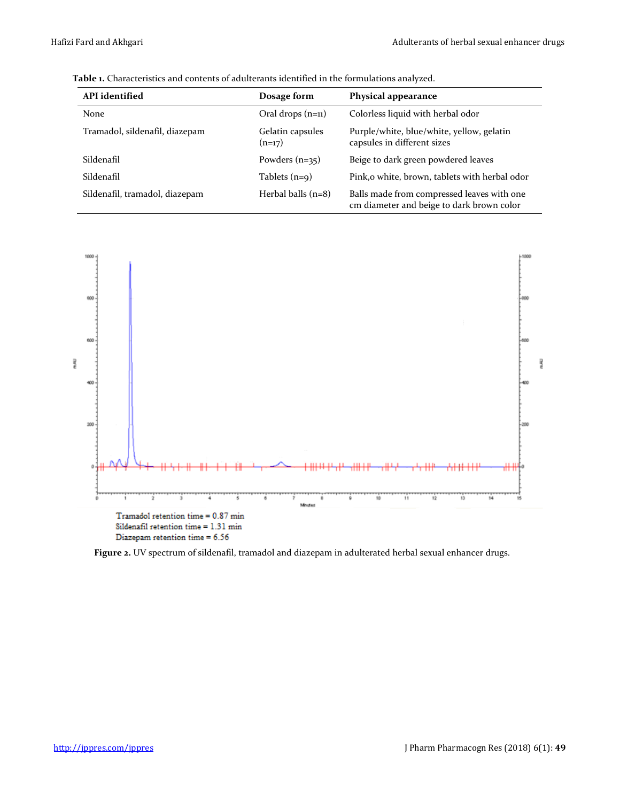cm diameter and beige to dark brown color

| <b>API</b> identified          | Dosage form                  | Physical appearance                                                      |  |
|--------------------------------|------------------------------|--------------------------------------------------------------------------|--|
| None                           | Oral drops $(n=1)$           | Colorless liquid with herbal odor                                        |  |
| Tramadol, sildenafil, diazepam | Gelatin capsules<br>$(n=17)$ | Purple/white, blue/white, yellow, gelatin<br>capsules in different sizes |  |
| Sildenafil                     | Powders $(n=35)$             | Beige to dark green powdered leaves                                      |  |
| Sildenafil                     | Tablets $(n=9)$              | Pink, o white, brown, tablets with herbal odor                           |  |
| Sildenafil, tramadol, diazepam | Herbal balls $(n=8)$         | Balls made from compressed leaves with one                               |  |

**Table 1.** Characteristics and contents of adulterants identified in the formulations analyzed.



Diazepam retention time = 6.56

**Figure 2.** UV spectrum of sildenafil, tramadol and diazepam in adulterated herbal sexual enhancer drugs.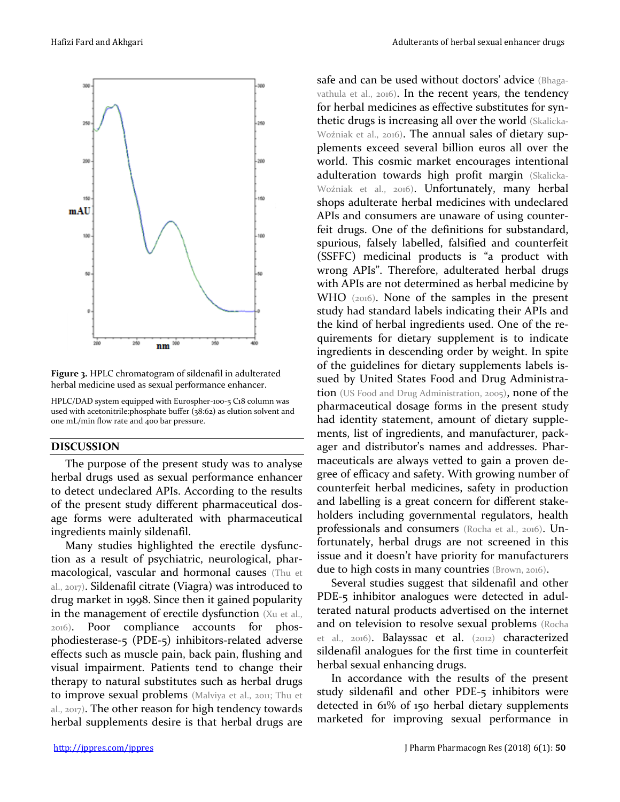

**Figure 3.** HPLC chromatogram of sildenafil in adulterated herbal medicine used as sexual performance enhancer.

HPLC/DAD system equipped with Eurospher-100-5 C18 column was used with acetonitrile:phosphate buffer (38:62) as elution solvent and one mL/min flow rate and 400 bar pressure.

#### **DISCUSSION**

The purpose of the present study was to analyse herbal drugs used as sexual performance enhancer to detect undeclared APIs. According to the results of the present study different pharmaceutical dosage forms were adulterated with pharmaceutical ingredients mainly sildenafil.

Many studies highlighted the erectile dysfunction as a result of psychiatric, neurological, pharmacological, vascular and hormonal causes (Thu et al., 2017). Sildenafil citrate (Viagra) was introduced to drug market in 1998. Since then it gained popularity in the management of erectile dysfunction (Xu et al., 2016). Poor compliance accounts for phosphodiesterase-5 (PDE-5) inhibitors-related adverse effects such as muscle pain, back pain, flushing and visual impairment. Patients tend to change their therapy to natural substitutes such as herbal drugs to improve sexual problems (Malviya et al., 2011; Thu et al., 2017). The other reason for high tendency towards herbal supplements desire is that herbal drugs are safe and can be used without doctors' advice (Bhagavathula et al., 2016). In the recent years, the tendency for herbal medicines as effective substitutes for synthetic drugs is increasing all over the world (Skalicka-Woźniak et al., 2016). The annual sales of dietary supplements exceed several billion euros all over the world. This cosmic market encourages intentional adulteration towards high profit margin (Skalicka-Woźniak et al., 2016). Unfortunately, many herbal shops adulterate herbal medicines with undeclared APIs and consumers are unaware of using counterfeit drugs. One of the definitions for substandard, spurious, falsely labelled, falsified and counterfeit (SSFFC) medicinal products is "a product with wrong APIs". Therefore, adulterated herbal drugs with APIs are not determined as herbal medicine by WHO (2016). None of the samples in the present study had standard labels indicating their APIs and the kind of herbal ingredients used. One of the requirements for dietary supplement is to indicate ingredients in descending order by weight. In spite of the guidelines for dietary supplements labels issued by United States Food and Drug Administration (US Food and Drug Administration, 2005), none of the pharmaceutical dosage forms in the present study had identity statement, amount of dietary supplements, list of ingredients, and manufacturer, packager and distributor's names and addresses. Pharmaceuticals are always vetted to gain a proven degree of efficacy and safety. With growing number of counterfeit herbal medicines, safety in production and labelling is a great concern for different stakeholders including governmental regulators, health professionals and consumers (Rocha et al., 2016). Unfortunately, herbal drugs are not screened in this issue and it doesn't have priority for manufacturers due to high costs in many countries (Brown, 2016).

Several studies suggest that sildenafil and other PDE-5 inhibitor analogues were detected in adulterated natural products advertised on the internet and on television to resolve sexual problems (Rocha et al., 2016). Balayssac et al. (2012) characterized sildenafil analogues for the first time in counterfeit herbal sexual enhancing drugs.

In accordance with the results of the present study sildenafil and other PDE-5 inhibitors were detected in 61% of 150 herbal dietary supplements marketed for improving sexual performance in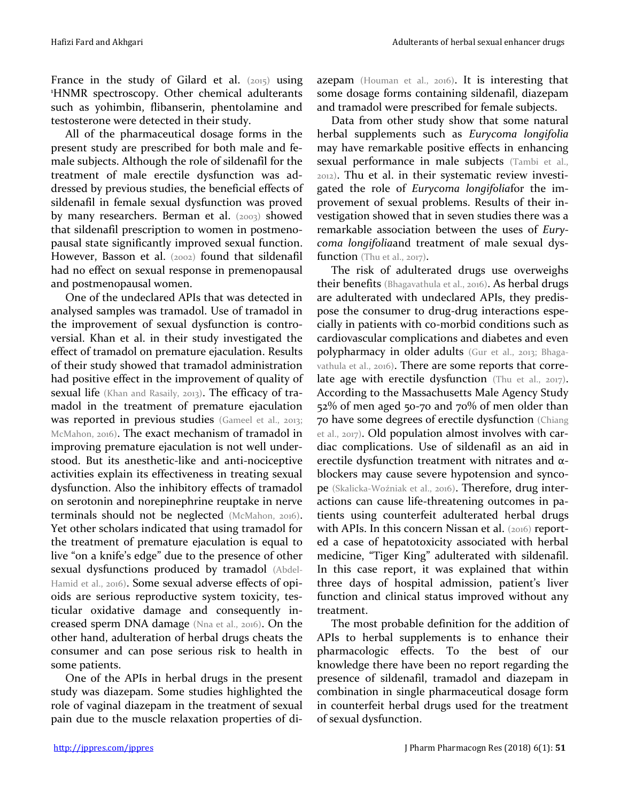France in the study of Gilard et al.  $(2015)$  using <sup>1</sup>HNMR spectroscopy. Other chemical adulterants such as yohimbin, flibanserin, phentolamine and testosterone were detected in their study.

All of the pharmaceutical dosage forms in the present study are prescribed for both male and female subjects. Although the role of sildenafil for the treatment of male erectile dysfunction was addressed by previous studies, the beneficial effects of sildenafil in female sexual dysfunction was proved by many researchers. Berman et al. (2003) showed that sildenafil prescription to women in postmenopausal state significantly improved sexual function. However, Basson et al. (2002) found that sildenafil had no effect on sexual response in premenopausal and postmenopausal women.

One of the undeclared APIs that was detected in analysed samples was tramadol. Use of tramadol in the improvement of sexual dysfunction is controversial. Khan et al. in their study investigated the effect of tramadol on premature ejaculation. Results of their study showed that tramadol administration had positive effect in the improvement of quality of sexual life (Khan and Rasaily, 2013). The efficacy of tramadol in the treatment of premature ejaculation was reported in previous studies (Gameel et al., 2013; McMahon, 2016). The exact mechanism of tramadol in improving premature ejaculation is not well understood. But its anesthetic-like and anti-nociceptive activities explain its effectiveness in treating sexual dysfunction. Also the inhibitory effects of tramadol on serotonin and norepinephrine reuptake in nerve terminals should not be neglected (McMahon, 2016). Yet other scholars indicated that using tramadol for the treatment of premature ejaculation is equal to live "on a knife's edge" due to the presence of other sexual dysfunctions produced by tramadol (Abdel-Hamid et al., 2016). Some sexual adverse effects of opioids are serious reproductive system toxicity, testicular oxidative damage and consequently increased sperm DNA damage (Nna et al., 2016). On the other hand, adulteration of herbal drugs cheats the consumer and can pose serious risk to health in some patients.

One of the APIs in herbal drugs in the present study was diazepam. Some studies highlighted the role of vaginal diazepam in the treatment of sexual pain due to the muscle relaxation properties of diazepam (Houman et al., 2016). It is interesting that some dosage forms containing sildenafil, diazepam and tramadol were prescribed for female subjects.

Data from other study show that some natural herbal supplements such as *Eurycoma longifolia* may have remarkable positive effects in enhancing sexual performance in male subjects (Tambi et al., 2012). Thu et al. in their systematic review investigated the role of *Eurycoma longifolia*for the improvement of sexual problems. Results of their investigation showed that in seven studies there was a remarkable association between the uses of *Eurycoma longifolia*and treatment of male sexual dysfunction (Thu et al., 2017).

The risk of adulterated drugs use overweighs their benefits (Bhagavathula et al., 2016). As herbal drugs are adulterated with undeclared APIs, they predispose the consumer to drug-drug interactions especially in patients with co-morbid conditions such as cardiovascular complications and diabetes and even polypharmacy in older adults (Gur et al., 2013; Bhagavathula et al., 2016). There are some reports that correlate age with erectile dysfunction (Thu et al., 2017). According to the Massachusetts Male Agency Study 52% of men aged 50-70 and 70% of men older than 70 have some degrees of erectile dysfunction (Chiang et al., 2017). Old population almost involves with cardiac complications. Use of sildenafil as an aid in erectile dysfunction treatment with nitrates and αblockers may cause severe hypotension and syncope (Skalicka-Woźniak et al., 2016). Therefore, drug interactions can cause life-threatening outcomes in patients using counterfeit adulterated herbal drugs with APIs. In this concern Nissan et al. (2016) reported a case of hepatotoxicity associated with herbal medicine, "Tiger King" adulterated with sildenafil. In this case report, it was explained that within three days of hospital admission, patient's liver function and clinical status improved without any treatment.

The most probable definition for the addition of APIs to herbal supplements is to enhance their pharmacologic effects. To the best of our knowledge there have been no report regarding the presence of sildenafil, tramadol and diazepam in combination in single pharmaceutical dosage form in counterfeit herbal drugs used for the treatment of sexual dysfunction.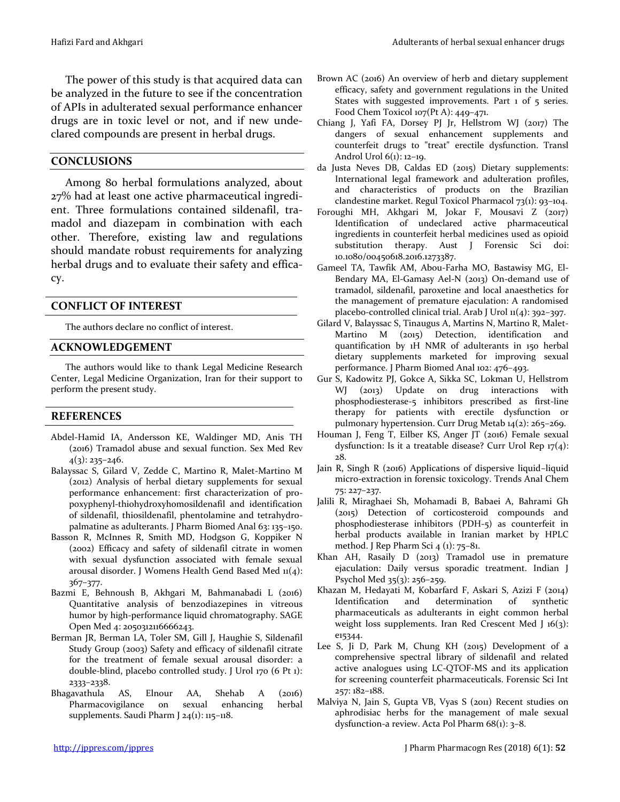The power of this study is that acquired data can be analyzed in the future to see if the concentration of APIs in adulterated sexual performance enhancer drugs are in toxic level or not, and if new undeclared compounds are present in herbal drugs.

### **CONCLUSIONS**

Among 80 herbal formulations analyzed, about 27% had at least one active pharmaceutical ingredient. Three formulations contained sildenafil, tramadol and diazepam in combination with each other. Therefore, existing law and regulations should mandate robust requirements for analyzing herbal drugs and to evaluate their safety and efficacy.

#### **CONFLICT OF INTEREST**

The authors declare no conflict of interest.

#### **ACKNOWLEDGEMENT**

The authors would like to thank Legal Medicine Research Center, Legal Medicine Organization, Iran for their support to perform the present study.

#### **REFERENCES**

- Abdel-Hamid IA, Andersson KE, Waldinger MD, Anis TH (2016) Tramadol abuse and sexual function. Sex Med Rev  $4(3): 235 - 246.$
- Balayssac S, Gilard V, Zedde C, Martino R, Malet-Martino M (2012) Analysis of herbal dietary supplements for sexual performance enhancement: first characterization of propoxyphenyl-thiohydroxyhomosildenafil and identification of sildenafil, thiosildenafil, phentolamine and tetrahydropalmatine as adulterants. J Pharm Biomed Anal 63: 135–150.
- Basson R, McInnes R, Smith MD, Hodgson G, Koppiker N (2002) Efficacy and safety of sildenafil citrate in women with sexual dysfunction associated with female sexual arousal disorder. J Womens Health Gend Based Med 11(4): 367–377.
- Bazmi E, Behnoush B, Akhgari M, Bahmanabadi L (2016) Quantitative analysis of benzodiazepines in vitreous humor by high-performance liquid chromatography. SAGE Open Med 4: 2050312116666243.
- Berman JR, Berman LA, Toler SM, Gill J, Haughie S, Sildenafil Study Group (2003) Safety and efficacy of sildenafil citrate for the treatment of female sexual arousal disorder: a double-blind, placebo controlled study. J Urol 170 (6 Pt 1): 2333–2338.
- Bhagavathula AS, Elnour AA, Shehab A (2016) Pharmacovigilance on sexual enhancing herbal supplements. Saudi Pharm J 24(1): 115-118.
- Brown AC (2016) An overview of herb and dietary supplement efficacy, safety and government regulations in the United States with suggested improvements. Part 1 of 5 series. Food Chem Toxicol 107(Pt A): 449–471.
- Chiang J, Yafi FA, Dorsey PJ Jr, Hellstrom WJ (2017) The dangers of sexual enhancement supplements and counterfeit drugs to "treat" erectile dysfunction. Transl Androl Urol 6(1): 12–19.
- da Justa Neves DB, Caldas ED (2015) Dietary supplements: International legal framework and adulteration profiles, and characteristics of products on the Brazilian clandestine market. Regul Toxicol Pharmacol 73(1): 93–104.
- Foroughi MH, Akhgari M, Jokar F, Mousavi Z (2017) Identification of undeclared active pharmaceutical ingredients in counterfeit herbal medicines used as opioid substitution therapy. Aust J Forensic Sci doi: 10.1080/00450618.2016.1273387.
- Gameel TA, Tawfik AM, Abou-Farha MO, Bastawisy MG, El-Bendary MA, El-Gamasy Ael-N (2013) On-demand use of tramadol, sildenafil, paroxetine and local anaesthetics for the management of premature ejaculation: A randomised placebo-controlled clinical trial. Arab J Urol  $n(4)$ : 392-397.
- Gilard V, Balayssac S, Tinaugus A, Martins N, Martino R, Malet-Martino M (2015) Detection, identification and quantification by 1H NMR of adulterants in 150 herbal dietary supplements marketed for improving sexual performance. J Pharm Biomed Anal 102: 476–493.
- Gur S, Kadowitz PJ, Gokce A, Sikka SC, Lokman U, Hellstrom WJ (2013) Update on drug interactions with phosphodiesterase-5 inhibitors prescribed as first-line therapy for patients with erectile dysfunction or pulmonary hypertension. Curr Drug Metab 14(2): 265–269.
- Houman J, Feng T, Eilber KS, Anger JT (2016) Female sexual dysfunction: Is it a treatable disease? Curr Urol Rep  $17(4)$ : 28.
- Jain R, Singh R (2016) Applications of dispersive liquid–liquid micro-extraction in forensic toxicology. Trends Anal Chem 75: 227–237.
- Jalili R, Miraghaei Sh, Mohamadi B, Babaei A, Bahrami Gh (2015) Detection of corticosteroid compounds and phosphodiesterase inhibitors (PDH-5) as counterfeit in herbal products available in Iranian market by HPLC method. J Rep Pharm Sci 4 (1): 75–81.
- Khan AH, Rasaily D (2013) Tramadol use in premature ejaculation: Daily versus sporadic treatment. Indian J Psychol Med 35(3): 256–259.
- Khazan M, Hedayati M, Kobarfard F, Askari S, Azizi F (2014) Identification and determination of synthetic pharmaceuticals as adulterants in eight common herbal weight loss supplements. Iran Red Crescent Med J 16(3): e15344.
- Lee S, Ji D, Park M, Chung KH (2015) Development of a comprehensive spectral library of sildenafil and related active analogues using LC-QTOF-MS and its application for screening counterfeit pharmaceuticals. Forensic Sci Int 257: 182–188.
- Malviya N, Jain S, Gupta VB, Vyas S (2011) Recent studies on aphrodisiac herbs for the management of male sexual dysfunction-a review. Acta Pol Pharm 68(1): 3–8.